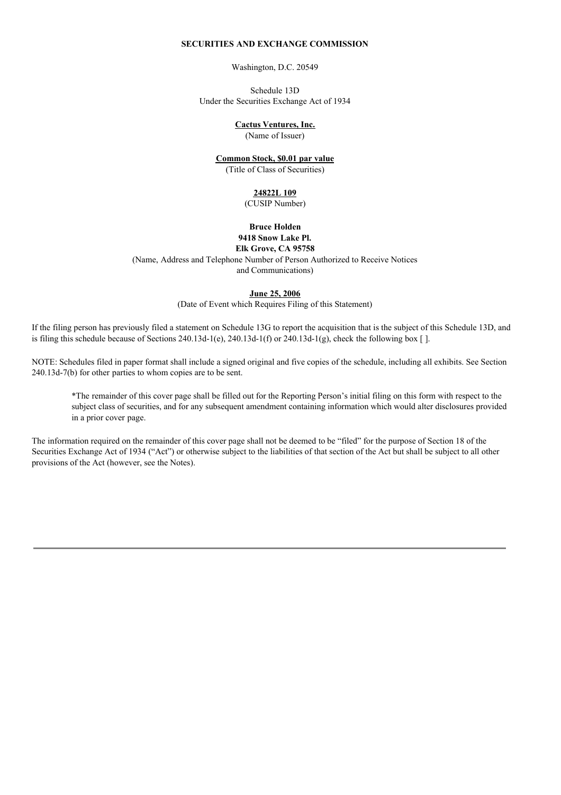### **SECURITIES AND EXCHANGE COMMISSION**

Washington, D.C. 20549

Schedule 13D Under the Securities Exchange Act of 1934

### **Cactus Ventures, Inc.**

(Name of Issuer)

#### **Common Stock, \$0.01 par value**

(Title of Class of Securities)

### **24822L 109**

(CUSIP Number)

#### **Bruce Holden 9418 Snow Lake Pl. Elk Grove, CA 95758**

(Name, Address and Telephone Number of Person Authorized to Receive Notices

and Communications)

#### **June 25, 2006**

(Date of Event which Requires Filing of this Statement)

If the filing person has previously filed a statement on Schedule 13G to report the acquisition that is the subject of this Schedule 13D, and is filing this schedule because of Sections 240.13d-1(e), 240.13d-1(f) or 240.13d-1(g), check the following box  $[ \cdot ]$ .

NOTE: Schedules filed in paper format shall include a signed original and five copies of the schedule, including all exhibits. See Section 240.13d-7(b) for other parties to whom copies are to be sent.

\*The remainder of this cover page shall be filled out for the Reporting Person's initial filing on this form with respect to the subject class of securities, and for any subsequent amendment containing information which would alter disclosures provided in a prior cover page.

The information required on the remainder of this cover page shall not be deemed to be "filed" for the purpose of Section 18 of the Securities Exchange Act of 1934 ("Act") or otherwise subject to the liabilities of that section of the Act but shall be subject to all other provisions of the Act (however, see the Notes).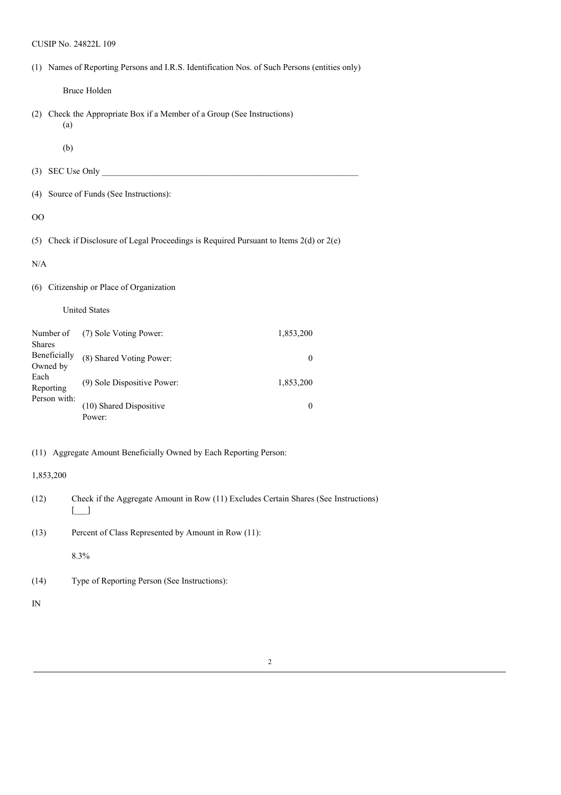CUSIP No. 24822L 109

| (1) Names of Reporting Persons and I.R.S. Identification Nos. of Such Persons (entities only) |  |
|-----------------------------------------------------------------------------------------------|--|
|                                                                                               |  |

Bruce Holden

(2) Check the Appropriate Box if a Member of a Group (See Instructions) (a)

(b)

- (3) SEC Use Only  $\qquad \qquad$
- (4) Source of Funds (See Instructions):

OO

(5) Check if Disclosure of Legal Proceedings is Required Pursuant to Items 2(d) or 2(e)

N/A

## (6) Citizenship or Place of Organization

#### United States

| Number of<br><b>Shares</b> | (7) Sole Voting Power:            | 1,853,200 |
|----------------------------|-----------------------------------|-----------|
| Beneficially<br>Owned by   | (8) Shared Voting Power:          |           |
| Each<br>Reporting          | (9) Sole Dispositive Power:       | 1,853,200 |
| Person with:               | (10) Shared Dispositive<br>Power: | 0         |

## (11) Aggregate Amount Beneficially Owned by Each Reporting Person:

### 1,853,200

- (12) Check if the Aggregate Amount in Row (11) Excludes Certain Shares (See Instructions)  $\Box$
- (13) Percent of Class Represented by Amount in Row (11):

8.3%

(14) Type of Reporting Person (See Instructions):

IN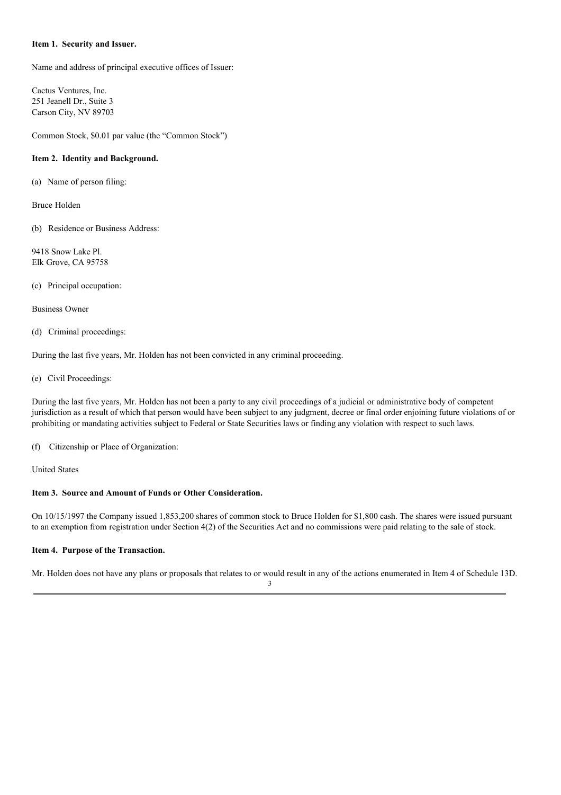### **Item 1. Security and Issuer.**

Name and address of principal executive offices of Issuer:

Cactus Ventures, Inc. 251 Jeanell Dr., Suite 3 Carson City, NV 89703

Common Stock, \$0.01 par value (the "Common Stock")

# **Item 2. Identity and Background.**

(a) Name of person filing:

Bruce Holden

(b) Residence or Business Address:

9418 Snow Lake Pl. Elk Grove, CA 95758

(c) Principal occupation:

Business Owner

# (d) Criminal proceedings:

During the last five years, Mr. Holden has not been convicted in any criminal proceeding.

(e) Civil Proceedings:

During the last five years, Mr. Holden has not been a party to any civil proceedings of a judicial or administrative body of competent jurisdiction as a result of which that person would have been subject to any judgment, decree or final order enjoining future violations of or prohibiting or mandating activities subject to Federal or State Securities laws or finding any violation with respect to such laws.

(f) Citizenship or Place of Organization:

United States

# **Item 3. Source and Amount of Funds or Other Consideration.**

On 10/15/1997 the Company issued 1,853,200 shares of common stock to Bruce Holden for \$1,800 cash. The shares were issued pursuant to an exemption from registration under Section 4(2) of the Securities Act and no commissions were paid relating to the sale of stock.

# **Item 4. Purpose of the Transaction.**

Mr. Holden does not have any plans or proposals that relates to or would result in any of the actions enumerated in Item 4 of Schedule 13D.